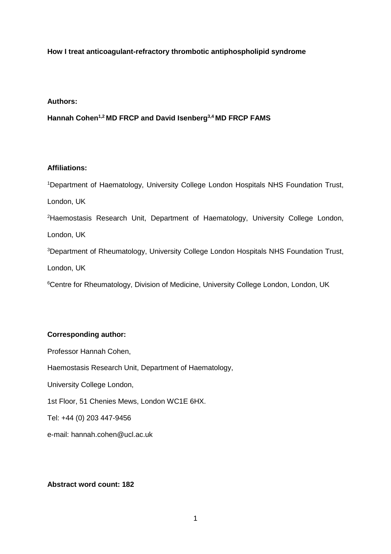# **How I treat anticoagulant-refractory thrombotic antiphospholipid syndrome**

## **Authors:**

**Hannah Cohen1,2 MD FRCP and David Isenberg3,4 MD FRCP FAMS**

# **Affiliations:**

<sup>1</sup>Department of Haematology, University College London Hospitals NHS Foundation Trust, London, UK <sup>2</sup>Haemostasis Research Unit, Department of Haematology, University College London, London, UK <sup>3</sup>Department of Rheumatology, University College London Hospitals NHS Foundation Trust, London, UK <sup>6</sup>Centre for Rheumatology, Division of Medicine, University College London, London, UK

# **Corresponding author:**

Professor Hannah Cohen, Haemostasis Research Unit, Department of Haematology, University College London, 1st Floor, 51 Chenies Mews, London WC1E 6HX. Tel: +44 (0) 203 447-9456 e-mail: hannah.cohen@ucl.ac.uk

# **Abstract word count: 182**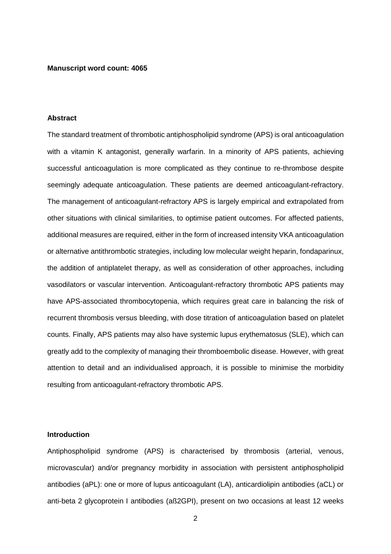## **Manuscript word count: 4065**

## **Abstract**

The standard treatment of thrombotic antiphospholipid syndrome (APS) is oral anticoagulation with a vitamin K antagonist, generally warfarin. In a minority of APS patients, achieving successful anticoagulation is more complicated as they continue to re-thrombose despite seemingly adequate anticoagulation. These patients are deemed anticoagulant-refractory. The management of anticoagulant-refractory APS is largely empirical and extrapolated from other situations with clinical similarities, to optimise patient outcomes. For affected patients, additional measures are required, either in the form of increased intensity VKA anticoagulation or alternative antithrombotic strategies, including low molecular weight heparin, fondaparinux, the addition of antiplatelet therapy, as well as consideration of other approaches, including vasodilators or vascular intervention. Anticoagulant-refractory thrombotic APS patients may have APS-associated thrombocytopenia, which requires great care in balancing the risk of recurrent thrombosis versus bleeding, with dose titration of anticoagulation based on platelet counts. Finally, APS patients may also have systemic lupus erythematosus (SLE), which can greatly add to the complexity of managing their thromboembolic disease. However, with great attention to detail and an individualised approach, it is possible to minimise the morbidity resulting from anticoagulant-refractory thrombotic APS.

## **Introduction**

Antiphospholipid syndrome (APS) is characterised by thrombosis (arterial, venous, microvascular) and/or pregnancy morbidity in association with persistent antiphospholipid antibodies (aPL): one or more of lupus anticoagulant (LA), anticardiolipin antibodies (aCL) or anti-beta 2 glycoprotein I antibodies (aß2GPI), present on two occasions at least 12 weeks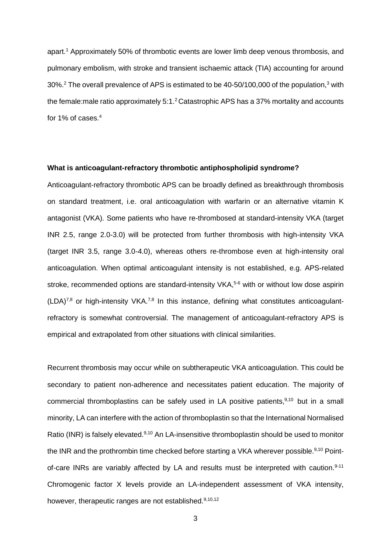apart. <sup>1</sup> Approximately 50% of thrombotic events are lower limb deep venous thrombosis, and pulmonary embolism, with stroke and transient ischaemic attack (TIA) accounting for around 30%.<sup>2</sup> The overall prevalence of APS is estimated to be 40-50/100,000 of the population,<sup>3</sup> with the female: male ratio approximately 5:1.<sup>2</sup> Catastrophic APS has a 37% mortality and accounts for 1% of cases. 4

## **What is anticoagulant-refractory thrombotic antiphospholipid syndrome?**

Anticoagulant-refractory thrombotic APS can be broadly defined as breakthrough thrombosis on standard treatment, i.e. oral anticoagulation with warfarin or an alternative vitamin K antagonist (VKA). Some patients who have re-thrombosed at standard-intensity VKA (target INR 2.5, range 2.0-3.0) will be protected from further thrombosis with high-intensity VKA (target INR 3.5, range 3.0-4.0), whereas others re-thrombose even at high-intensity oral anticoagulation. When optimal anticoagulant intensity is not established, e.g. APS-related stroke, recommended options are standard-intensity VKA,<sup>5-6</sup> with or without low dose aspirin  $(LDA)^{7,8}$  or high-intensity VKA.<sup>7,8</sup> In this instance, defining what constitutes anticoagulantrefractory is somewhat controversial. The management of anticoagulant-refractory APS is empirical and extrapolated from other situations with clinical similarities.

Recurrent thrombosis may occur while on subtherapeutic VKA anticoagulation. This could be secondary to patient non-adherence and necessitates patient education. The majority of commercial thromboplastins can be safely used in LA positive patients,<sup>9,10</sup> but in a small minority, LA can interfere with the action of thromboplastin so that the International Normalised Ratio (INR) is falsely elevated.<sup>9,10</sup> An LA-insensitive thromboplastin should be used to monitor the INR and the prothrombin time checked before starting a VKA wherever possible.<sup>9,10</sup> Pointof-care INRs are variably affected by LA and results must be interpreted with caution.<sup>9-11</sup> Chromogenic factor X levels provide an LA-independent assessment of VKA intensity, however, therapeutic ranges are not established.<sup>9,10,12</sup>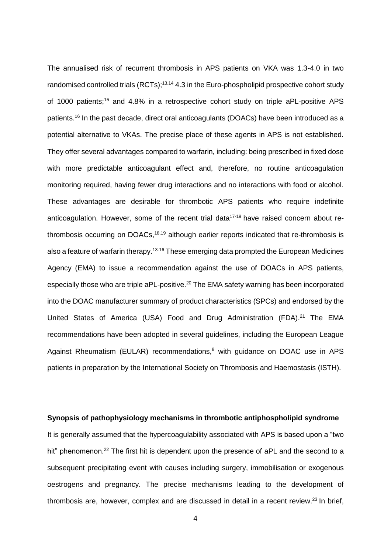The annualised risk of recurrent thrombosis in APS patients on VKA was 1.3-4.0 in two randomised controlled trials (RCTs);<sup>13,14</sup> 4.3 in the Euro-phospholipid prospective cohort study of 1000 patients;<sup>15</sup> and 4.8% in a retrospective cohort study on triple aPL-positive APS patients. <sup>16</sup> In the past decade, direct oral anticoagulants (DOACs) have been introduced as a potential alternative to VKAs. The precise place of these agents in APS is not established. They offer several advantages compared to warfarin, including: being prescribed in fixed dose with more predictable anticoagulant effect and, therefore, no routine anticoagulation monitoring required, having fewer drug interactions and no interactions with food or alcohol. These advantages are desirable for thrombotic APS patients who require indefinite anticoagulation. However, some of the recent trial data<sup>17-19</sup> have raised concern about rethrombosis occurring on DOACs,<sup>18,19</sup> although earlier reports indicated that re-thrombosis is also a feature of warfarin therapy.<sup>13-16</sup> These emerging data prompted the European Medicines Agency (EMA) to issue a recommendation against the use of DOACs in APS patients, especially those who are triple aPL-positive.<sup>20</sup> The EMA safety warning has been incorporated into the DOAC manufacturer summary of product characteristics (SPCs) and endorsed by the United States of America (USA) Food and Drug Administration (FDA).<sup>21</sup> The EMA recommendations have been adopted in several guidelines, including the European League Against Rheumatism (EULAR) recommendations, <sup>8</sup> with guidance on DOAC use in APS patients in preparation by the International Society on Thrombosis and Haemostasis (ISTH).

## **Synopsis of pathophysiology mechanisms in thrombotic antiphospholipid syndrome**

It is generally assumed that the hypercoagulability associated with APS is based upon a "two hit" phenomenon.<sup>22</sup> The first hit is dependent upon the presence of aPL and the second to a subsequent precipitating event with causes including surgery, immobilisation or exogenous oestrogens and pregnancy. The precise mechanisms leading to the development of thrombosis are, however, complex and are discussed in detail in a recent review.<sup>23</sup> In brief,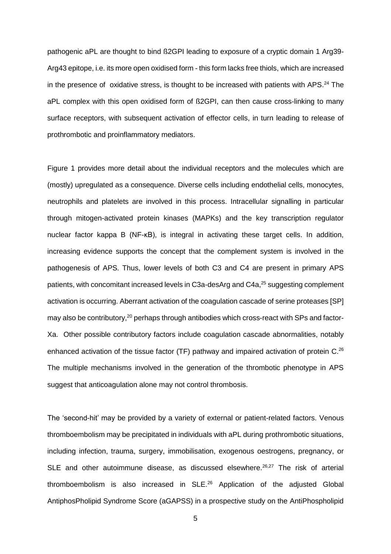pathogenic aPL are thought to bind ß2GPI leading to exposure of a cryptic domain 1 Arg39- Arg43 epitope, i.e. its more open oxidised form - this form lacks free thiols, which are increased in the presence of oxidative stress, is thought to be increased with patients with APS.<sup>24</sup> The aPL complex with this open oxidised form of ß2GPI, can then cause cross-linking to many surface receptors, with subsequent activation of effector cells, in turn leading to release of prothrombotic and proinflammatory mediators.

Figure 1 provides more detail about the individual receptors and the molecules which are (mostly) upregulated as a consequence. Diverse cells including endothelial cells, monocytes, neutrophils and platelets are involved in this process. Intracellular signalling in particular through mitogen-activated protein kinases (MAPKs) and the key transcription regulator nuclear factor kappa B (NF-κB), is integral in activating these target cells. In addition, increasing evidence supports the concept that the complement system is involved in the pathogenesis of APS. Thus, lower levels of both C3 and C4 are present in primary APS patients, with concomitant increased levels in C3a-desArg and C4a,<sup>25</sup> suggesting complement activation is occurring. Aberrant activation of the coagulation cascade of serine proteases [SP] may also be contributory,<sup>20</sup> perhaps through antibodies which cross-react with SPs and factor-Xa. Other possible contributory factors include coagulation cascade abnormalities, notably enhanced activation of the tissue factor (TF) pathway and impaired activation of protein C.<sup>26</sup> The multiple mechanisms involved in the generation of the thrombotic phenotype in APS suggest that anticoagulation alone may not control thrombosis.

The 'second-hit' may be provided by a variety of external or patient-related factors. Venous thromboembolism may be precipitated in individuals with aPL during prothrombotic situations, including infection, trauma, surgery, immobilisation, exogenous oestrogens, pregnancy, or SLE and other autoimmune disease, as discussed elsewhere.<sup>26,27</sup> The risk of arterial thromboembolism is also increased in SLE.<sup>26</sup> Application of the adjusted Global AntiphosPholipid Syndrome Score (aGAPSS) in a prospective study on the AntiPhospholipid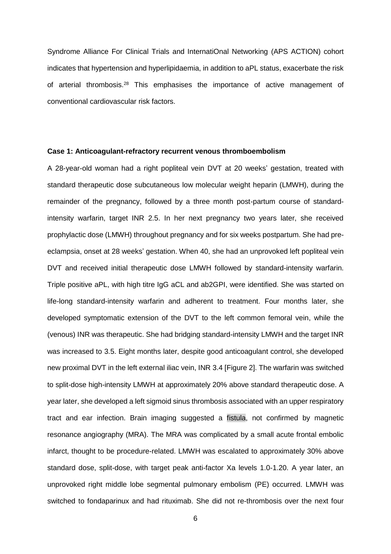Syndrome Alliance For Clinical Trials and InternatiOnal Networking (APS ACTION) cohort indicates that hypertension and hyperlipidaemia, in addition to aPL status, exacerbate the risk of arterial thrombosis.<sup>28</sup> This emphasises the importance of active management of conventional cardiovascular risk factors.

# **Case 1: Anticoagulant-refractory recurrent venous thromboembolism**

A 28-year-old woman had a right popliteal vein DVT at 20 weeks' gestation, treated with standard therapeutic dose subcutaneous low molecular weight heparin (LMWH), during the remainder of the pregnancy, followed by a three month post-partum course of standardintensity warfarin, target INR 2.5. In her next pregnancy two years later, she received prophylactic dose (LMWH) throughout pregnancy and for six weeks postpartum. She had preeclampsia, onset at 28 weeks' gestation. When 40, she had an unprovoked left popliteal vein DVT and received initial therapeutic dose LMWH followed by standard-intensity warfarin. Triple positive aPL, with high titre IgG aCL and ab2GPI, were identified. She was started on life-long standard-intensity warfarin and adherent to treatment. Four months later, she developed symptomatic extension of the DVT to the left common femoral vein, while the (venous) INR was therapeutic. She had bridging standard-intensity LMWH and the target INR was increased to 3.5. Eight months later, despite good anticoagulant control, she developed new proximal DVT in the left external iliac vein, INR 3.4 [Figure 2]. The warfarin was switched to split-dose high-intensity LMWH at approximately 20% above standard therapeutic dose. A year later, she developed a left sigmoid sinus thrombosis associated with an upper respiratory tract and ear infection. Brain imaging suggested a fistula, not confirmed by magnetic resonance angiography (MRA). The MRA was complicated by a small acute frontal embolic infarct, thought to be procedure-related. LMWH was escalated to approximately 30% above standard dose, split-dose, with target peak anti-factor Xa levels 1.0-1.20. A year later, an unprovoked right middle lobe segmental pulmonary embolism (PE) occurred. LMWH was switched to fondaparinux and had rituximab. She did not re-thrombosis over the next four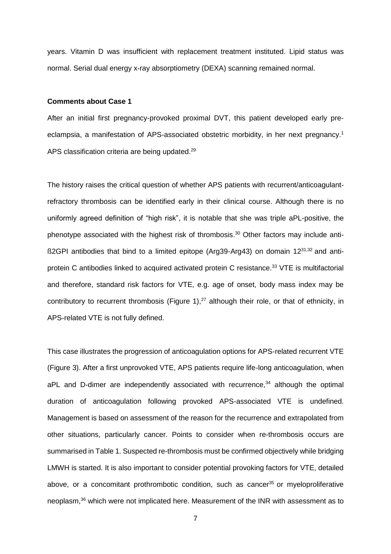years. Vitamin D was insufficient with replacement treatment instituted. Lipid status was normal. Serial dual energy x-ray absorptiometry (DEXA) scanning remained normal.

#### **Comments about Case 1**

After an initial first pregnancy-provoked proximal DVT, this patient developed early preeclampsia, a manifestation of APS-associated obstetric morbidity, in her next pregnancy. 1 APS classification criteria are being updated.<sup>29</sup>

The history raises the critical question of whether APS patients with recurrent/anticoagulantrefractory thrombosis can be identified early in their clinical course. Although there is no uniformly agreed definition of "high risk", it is notable that she was triple aPL-positive, the phenotype associated with the highest risk of thrombosis.<sup>30</sup> Other factors may include anti- $\beta$ 2GPI antibodies that bind to a limited epitope (Arg39-Arg43) on domain 12 $^{31,32}$  and antiprotein C antibodies linked to acquired activated protein C resistance.<sup>33</sup> VTE is multifactorial and therefore, standard risk factors for VTE, e.g. age of onset, body mass index may be contributory to recurrent thrombosis (Figure 1), $^{27}$  although their role, or that of ethnicity, in APS-related VTE is not fully defined.

This case illustrates the progression of anticoagulation options for APS-related recurrent VTE (Figure 3). After a first unprovoked VTE, APS patients require life-long anticoagulation, when  $aPL$  and D-dimer are independently associated with recurrence, $34$  although the optimal duration of anticoagulation following provoked APS-associated VTE is undefined. Management is based on assessment of the reason for the recurrence and extrapolated from other situations, particularly cancer. Points to consider when re-thrombosis occurs are summarised in Table 1. Suspected re-thrombosis must be confirmed objectively while bridging LMWH is started. It is also important to consider potential provoking factors for VTE, detailed above, or a concomitant prothrombotic condition, such as cancer<sup>35</sup> or myeloproliferative neoplasm,<sup>36</sup> which were not implicated here. Measurement of the INR with assessment as to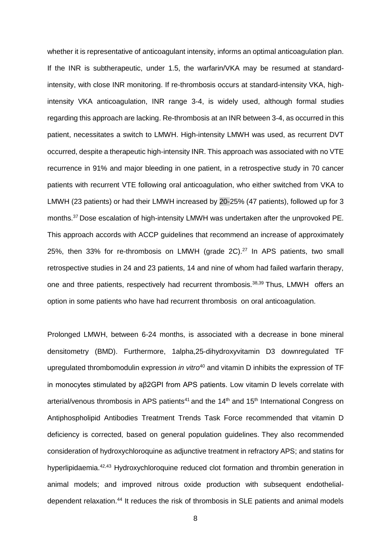whether it is representative of anticoagulant intensity, informs an optimal anticoagulation plan. If the INR is subtherapeutic, under 1.5, the warfarin/VKA may be resumed at standardintensity, with close INR monitoring. If re-thrombosis occurs at standard-intensity VKA, highintensity VKA anticoagulation, INR range 3-4, is widely used, although formal studies regarding this approach are lacking. Re-thrombosis at an INR between 3-4, as occurred in this patient, necessitates a switch to LMWH. High-intensity LMWH was used, as recurrent DVT occurred, despite a therapeutic high-intensity INR. This approach was associated with no VTE recurrence in 91% and major bleeding in one patient, in a retrospective study in 70 cancer patients with recurrent VTE following oral anticoagulation, who either switched from VKA to LMWH (23 patients) or had their LMWH increased by 20-25% (47 patients), followed up for 3 months. <sup>37</sup>Dose escalation of high-intensity LMWH was undertaken after the unprovoked PE. This approach accords with ACCP guidelines that recommend an increase of approximately 25%, then 33% for re-thrombosis on LMWH (grade 2C).<sup>27</sup> In APS patients, two small retrospective studies in 24 and 23 patients, 14 and nine of whom had failed warfarin therapy, one and three patients, respectively had recurrent thrombosis.<sup>38,39</sup> Thus, LMWH offers an option in some patients who have had recurrent thrombosis on oral anticoagulation.

Prolonged LMWH, between 6-24 months, is associated with a decrease in bone mineral densitometry (BMD). Furthermore, 1alpha,25-dihydroxyvitamin D3 downregulated TF upregulated thrombomodulin expression *in vitro*<sup>40</sup> and vitamin D inhibits the expression of TF in monocytes stimulated by aβ2GPI from APS patients. Low vitamin D levels correlate with arterial/venous thrombosis in APS patients<sup>41</sup> and the  $14<sup>th</sup>$  and  $15<sup>th</sup>$  International Congress on Antiphospholipid Antibodies Treatment Trends Task Force recommended that vitamin D deficiency is corrected, based on general population guidelines. They also recommended consideration of hydroxychloroquine as adjunctive treatment in refractory APS; and statins for hyperlipidaemia.<sup>42,43</sup> Hydroxychloroquine reduced clot formation and thrombin generation in animal models; and improved nitrous oxide production with subsequent endothelialdependent relaxation.<sup>44</sup> It reduces the risk of thrombosis in SLE patients and animal models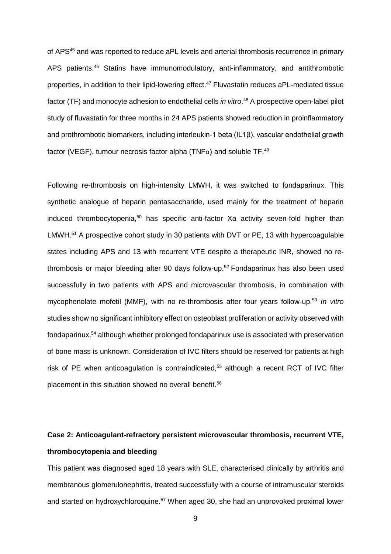of APS<sup>45</sup> and was reported to reduce aPL levels and arterial thrombosis recurrence in primary APS patients.<sup>46</sup> Statins have immunomodulatory, anti-inflammatory, and antithrombotic properties, in addition to their lipid-lowering effect.<sup>47</sup> Fluvastatin reduces aPL-mediated tissue factor (TF) and monocyte adhesion to endothelial cells *in vitro*. <sup>48</sup> A prospective open-label pilot study of fluvastatin for three months in 24 APS patients showed reduction in proinflammatory and prothrombotic biomarkers, including interleukin-1 beta (IL1β), vascular endothelial growth factor (VEGF), tumour necrosis factor alpha (TNF $\alpha$ ) and soluble TF.<sup>49</sup>

Following re-thrombosis on high-intensity LMWH, it was switched to fondaparinux. This synthetic analogue of heparin pentasaccharide, used mainly for the treatment of heparin induced thrombocytopenia,<sup>50</sup> has specific anti-factor Xa activity seven-fold higher than LMWH.<sup>51</sup> A prospective cohort study in 30 patients with DVT or PE, 13 with hypercoagulable states including APS and 13 with recurrent VTE despite a therapeutic INR, showed no rethrombosis or major bleeding after 90 days follow-up. <sup>52</sup> Fondaparinux has also been used successfully in two patients with APS and microvascular thrombosis, in combination with mycophenolate mofetil (MMF), with no re-thrombosis after four years follow-up. 53 *In vitro* studies show no significant inhibitory effect on osteoblast proliferation or activity observed with fondaparinux, <sup>54</sup> although whether prolonged fondaparinux use is associated with preservation of bone mass is unknown. Consideration of IVC filters should be reserved for patients at high risk of PE when anticoagulation is contraindicated, <sup>55</sup> although a recent RCT of IVC filter placement in this situation showed no overall benefit. 56

# **Case 2: Anticoagulant-refractory persistent microvascular thrombosis, recurrent VTE, thrombocytopenia and bleeding**

This patient was diagnosed aged 18 years with SLE, characterised clinically by arthritis and membranous glomerulonephritis, treated successfully with a course of intramuscular steroids and started on hydroxychloroquine.<sup>57</sup> When aged 30, she had an unprovoked proximal lower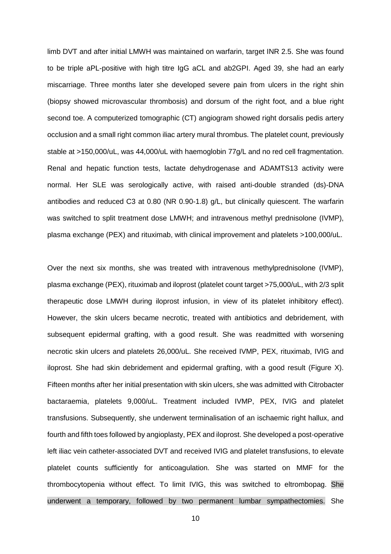limb DVT and after initial LMWH was maintained on warfarin, target INR 2.5. She was found to be triple aPL-positive with high titre IgG aCL and ab2GPI. Aged 39, she had an early miscarriage. Three months later she developed severe pain from ulcers in the right shin (biopsy showed microvascular thrombosis) and dorsum of the right foot, and a blue right second toe. A computerized tomographic (CT) angiogram showed right dorsalis pedis artery occlusion and a small right common iliac artery mural thrombus. The platelet count, previously stable at >150,000/uL, was 44,000/uL with haemoglobin 77g/L and no red cell fragmentation. Renal and hepatic function tests, lactate dehydrogenase and ADAMTS13 activity were normal. Her SLE was serologically active, with raised anti-double stranded (ds)-DNA antibodies and reduced C3 at 0.80 (NR 0.90-1.8) g/L, but clinically quiescent. The warfarin was switched to split treatment dose LMWH; and intravenous methyl prednisolone (IVMP), plasma exchange (PEX) and rituximab, with clinical improvement and platelets >100,000/uL.

Over the next six months, she was treated with intravenous methylprednisolone (IVMP), plasma exchange (PEX), rituximab and iloprost (platelet count target >75,000/uL, with 2/3 split therapeutic dose LMWH during iloprost infusion, in view of its platelet inhibitory effect). However, the skin ulcers became necrotic, treated with antibiotics and debridement, with subsequent epidermal grafting, with a good result. She was readmitted with worsening necrotic skin ulcers and platelets 26,000/uL. She received IVMP, PEX, rituximab, IVIG and iloprost. She had skin debridement and epidermal grafting, with a good result (Figure X). Fifteen months after her initial presentation with skin ulcers, she was admitted with Citrobacter bactaraemia, platelets 9,000/uL. Treatment included IVMP, PEX, IVIG and platelet transfusions. Subsequently, she underwent terminalisation of an ischaemic right hallux, and fourth and fifth toes followed by angioplasty, PEX and iloprost. She developed a post-operative left iliac vein catheter-associated DVT and received IVIG and platelet transfusions, to elevate platelet counts sufficiently for anticoagulation. She was started on MMF for the thrombocytopenia without effect. To limit IVIG, this was switched to eltrombopag. She underwent a temporary, followed by two permanent lumbar sympathectomies. She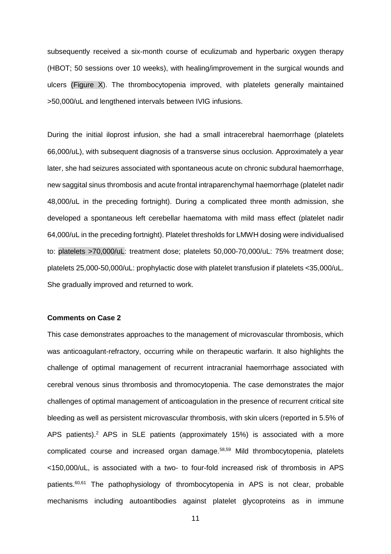subsequently received a six-month course of eculizumab and hyperbaric oxygen therapy (HBOT; 50 sessions over 10 weeks), with healing/improvement in the surgical wounds and ulcers (Figure X). The thrombocytopenia improved, with platelets generally maintained >50,000/uL and lengthened intervals between IVIG infusions.

During the initial iloprost infusion, she had a small intracerebral haemorrhage (platelets 66,000/uL), with subsequent diagnosis of a transverse sinus occlusion. Approximately a year later, she had seizures associated with spontaneous acute on chronic subdural haemorrhage, new saggital sinus thrombosis and acute frontal intraparenchymal haemorrhage (platelet nadir 48,000/uL in the preceding fortnight). During a complicated three month admission, she developed a spontaneous left cerebellar haematoma with mild mass effect (platelet nadir 64,000/uL in the preceding fortnight). Platelet thresholds for LMWH dosing were individualised to: platelets >70,000/uL: treatment dose; platelets 50,000-70,000/uL: 75% treatment dose; platelets 25,000-50,000/uL: prophylactic dose with platelet transfusion if platelets <35,000/uL. She gradually improved and returned to work.

## **Comments on Case 2**

This case demonstrates approaches to the management of microvascular thrombosis, which was anticoagulant-refractory, occurring while on therapeutic warfarin. It also highlights the challenge of optimal management of recurrent intracranial haemorrhage associated with cerebral venous sinus thrombosis and thromocytopenia. The case demonstrates the major challenges of optimal management of anticoagulation in the presence of recurrent critical site bleeding as well as persistent microvascular thrombosis, with skin ulcers (reported in 5.5% of APS patients).<sup>2</sup> APS in SLE patients (approximately 15%) is associated with a more complicated course and increased organ damage.58,59 Mild thrombocytopenia, platelets <150,000/uL, is associated with a two- to four-fold increased risk of thrombosis in APS patients.<sup>60,61</sup> The pathophysiology of thrombocytopenia in APS is not clear, probable mechanisms including autoantibodies against platelet glycoproteins as in immune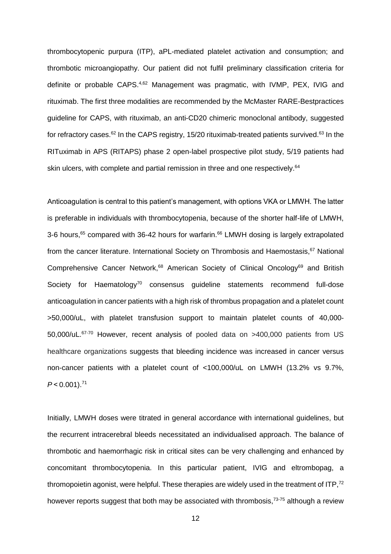thrombocytopenic purpura (ITP), aPL-mediated platelet activation and consumption; and thrombotic microangiopathy. Our patient did not fulfil preliminary classification criteria for definite or probable CAPS.<sup>4,62</sup> Management was pragmatic, with IVMP, PEX, IVIG and rituximab. The first three modalities are recommended by the McMaster RARE-Bestpractices guideline for CAPS, with rituximab, an anti-CD20 chimeric monoclonal antibody, suggested for refractory cases.<sup>62</sup> In the CAPS registry, 15/20 rituximab-treated patients survived.<sup>63</sup> In the RITuximab in APS (RITAPS) phase 2 open-label prospective pilot study, 5/19 patients had skin ulcers, with complete and partial remission in three and one respectively. 64

Anticoagulation is central to this patient's management, with options VKA or LMWH. The latter is preferable in individuals with thrombocytopenia, because of the shorter half-life of LMWH, 3-6 hours,<sup>65</sup> compared with 36-42 hours for warfarin.<sup>66</sup> LMWH dosing is largely extrapolated from the cancer literature. International Society on Thrombosis and Haemostasis, <sup>67</sup> National Comprehensive Cancer Network,<sup>68</sup> American Society of Clinical Oncology<sup>69</sup> and British Society for Haematology<sup>70</sup> consensus guideline statements recommend full-dose anticoagulation in cancer patients with a high risk of thrombus propagation and a platelet count >50,000/uL, with platelet transfusion support to maintain platelet counts of 40,000- 50,000/uL.<sup>67-70</sup> However, recent analysis of pooled data on >400,000 patients from US healthcare organizations suggests that bleeding incidence was increased in cancer versus non-cancer patients with a platelet count of <100,000/uL on LMWH (13.2% vs 9.7%, *P* < 0.001). 71

Initially, LMWH doses were titrated in general accordance with international guidelines, but the recurrent intracerebral bleeds necessitated an individualised approach. The balance of thrombotic and haemorrhagic risk in critical sites can be very challenging and enhanced by concomitant thrombocytopenia. In this particular patient, IVIG and eltrombopag, a thromopoietin agonist, were helpful. These therapies are widely used in the treatment of ITP,<sup>72</sup> however reports suggest that both may be associated with thrombosis,<sup>73-75</sup> although a review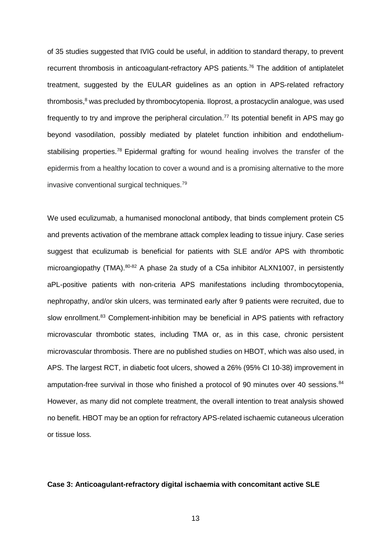of 35 studies suggested that IVIG could be useful, in addition to standard therapy, to prevent recurrent thrombosis in anticoagulant-refractory APS patients.<sup>76</sup> The addition of antiplatelet treatment, suggested by the EULAR guidelines as an option in APS-related refractory thrombosis,<sup>8</sup> was precluded by thrombocytopenia. Iloprost, a prostacyclin analogue, was used frequently to try and improve the peripheral circulation. 77 Its potential benefit in APS may go beyond vasodilation, possibly mediated by platelet function inhibition and endotheliumstabilising properties.<sup>78</sup> Epidermal grafting for wound healing involves the transfer of the epidermis from a healthy location to cover a wound and is a promising alternative to the more invasive conventional surgical techniques.<sup>79</sup>

We used eculizumab, a humanised monoclonal antibody, that binds complement protein C5 and prevents activation of the membrane attack complex leading to tissue injury. Case series suggest that eculizumab is beneficial for patients with SLE and/or APS with thrombotic microangiopathy (TMA). 80-82 A phase 2a study of a C5a inhibitor ALXN1007, in persistently aPL-positive patients with non-criteria APS manifestations including thrombocytopenia, nephropathy, and/or skin ulcers, was terminated early after 9 patients were recruited, due to slow enrollment.<sup>83</sup> Complement-inhibition may be beneficial in APS patients with refractory microvascular thrombotic states, including TMA or, as in this case, chronic persistent microvascular thrombosis. There are no published studies on HBOT, which was also used, in APS. The largest RCT, in diabetic foot ulcers, showed a 26% (95% CI 10-38) improvement in amputation-free survival in those who finished a protocol of 90 minutes over 40 sessions.<sup>84</sup> However, as many did not complete treatment, the overall intention to treat analysis showed no benefit. HBOT may be an option for refractory APS-related ischaemic cutaneous ulceration or tissue loss.

## **Case 3: Anticoagulant-refractory digital ischaemia with concomitant active SLE**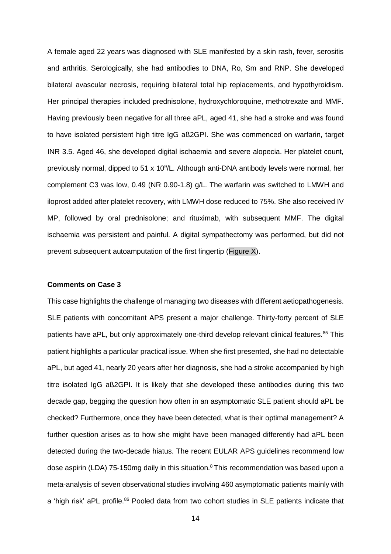A female aged 22 years was diagnosed with SLE manifested by a skin rash, fever, serositis and arthritis. Serologically, she had antibodies to DNA, Ro, Sm and RNP. She developed bilateral avascular necrosis, requiring bilateral total hip replacements, and hypothyroidism. Her principal therapies included prednisolone, hydroxychloroquine, methotrexate and MMF. Having previously been negative for all three aPL, aged 41, she had a stroke and was found to have isolated persistent high titre IgG aß2GPI. She was commenced on warfarin, target INR 3.5. Aged 46, she developed digital ischaemia and severe alopecia. Her platelet count, previously normal, dipped to 51 x 10<sup>9</sup>/L. Although anti-DNA antibody levels were normal, her complement C3 was low, 0.49 (NR 0.90-1.8) g/L. The warfarin was switched to LMWH and iloprost added after platelet recovery, with LMWH dose reduced to 75%. She also received IV MP, followed by oral prednisolone; and rituximab, with subsequent MMF. The digital ischaemia was persistent and painful. A digital sympathectomy was performed, but did not prevent subsequent autoamputation of the first fingertip (Figure X).

## **Comments on Case 3**

This case highlights the challenge of managing two diseases with different aetiopathogenesis. SLE patients with concomitant APS present a major challenge. Thirty-forty percent of SLE patients have aPL, but only approximately one-third develop relevant clinical features.<sup>85</sup> This patient highlights a particular practical issue. When she first presented, she had no detectable aPL, but aged 41, nearly 20 years after her diagnosis, she had a stroke accompanied by high titre isolated IgG aß2GPI. It is likely that she developed these antibodies during this two decade gap, begging the question how often in an asymptomatic SLE patient should aPL be checked? Furthermore, once they have been detected, what is their optimal management? A further question arises as to how she might have been managed differently had aPL been detected during the two-decade hiatus. The recent EULAR APS guidelines recommend low dose aspirin (LDA) 75-150mg daily in this situation. $8$  This recommendation was based upon a meta-analysis of seven observational studies involving 460 asymptomatic patients mainly with a 'high risk' aPL profile.<sup>86</sup> Pooled data from two cohort studies in SLE patients indicate that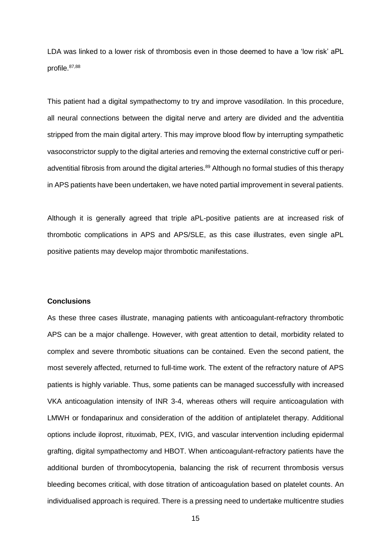LDA was linked to a lower risk of thrombosis even in those deemed to have a 'low risk' aPL profile. 87,88

This patient had a digital sympathectomy to try and improve vasodilation. In this procedure, all neural connections between the digital nerve and artery are divided and the adventitia stripped from the main digital artery. This may improve blood flow by interrupting sympathetic vasoconstrictor supply to the digital arteries and removing the external constrictive cuff or periadventitial fibrosis from around the digital arteries.<sup>89</sup> Although no formal studies of this therapy in APS patients have been undertaken, we have noted partial improvement in several patients.

Although it is generally agreed that triple aPL-positive patients are at increased risk of thrombotic complications in APS and APS/SLE, as this case illustrates, even single aPL positive patients may develop major thrombotic manifestations.

## **Conclusions**

As these three cases illustrate, managing patients with anticoagulant-refractory thrombotic APS can be a major challenge. However, with great attention to detail, morbidity related to complex and severe thrombotic situations can be contained. Even the second patient, the most severely affected, returned to full-time work. The extent of the refractory nature of APS patients is highly variable. Thus, some patients can be managed successfully with increased VKA anticoagulation intensity of INR 3-4, whereas others will require anticoagulation with LMWH or fondaparinux and consideration of the addition of antiplatelet therapy. Additional options include iloprost, rituximab, PEX, IVIG, and vascular intervention including epidermal grafting, digital sympathectomy and HBOT. When anticoagulant-refractory patients have the additional burden of thrombocytopenia, balancing the risk of recurrent thrombosis versus bleeding becomes critical, with dose titration of anticoagulation based on platelet counts. An individualised approach is required. There is a pressing need to undertake multicentre studies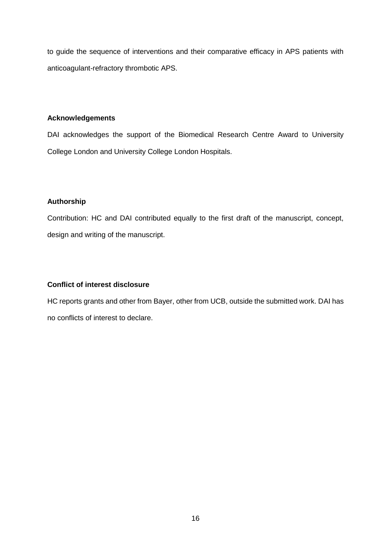to guide the sequence of interventions and their comparative efficacy in APS patients with anticoagulant-refractory thrombotic APS.

# **Acknowledgements**

DAI acknowledges the support of the Biomedical Research Centre Award to University College London and University College London Hospitals.

# **Authorship**

Contribution: HC and DAI contributed equally to the first draft of the manuscript, concept, design and writing of the manuscript.

# **Conflict of interest disclosure**

HC reports grants and other from Bayer, other from UCB, outside the submitted work. DAI has no conflicts of interest to declare.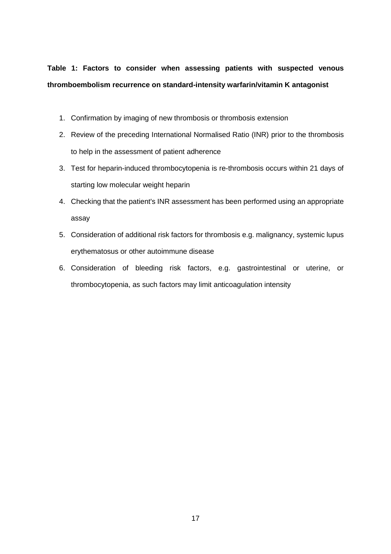**Table 1: Factors to consider when assessing patients with suspected venous thromboembolism recurrence on standard-intensity warfarin/vitamin K antagonist**

- 1. Confirmation by imaging of new thrombosis or thrombosis extension
- 2. Review of the preceding International Normalised Ratio (INR) prior to the thrombosis to help in the assessment of patient adherence
- 3. Test for heparin-induced thrombocytopenia is re-thrombosis occurs within 21 days of starting low molecular weight heparin
- 4. Checking that the patient's INR assessment has been performed using an appropriate assay
- 5. Consideration of additional risk factors for thrombosis e.g. malignancy, systemic lupus erythematosus or other autoimmune disease
- 6. Consideration of bleeding risk factors, e.g. gastrointestinal or uterine, or thrombocytopenia, as such factors may limit anticoagulation intensity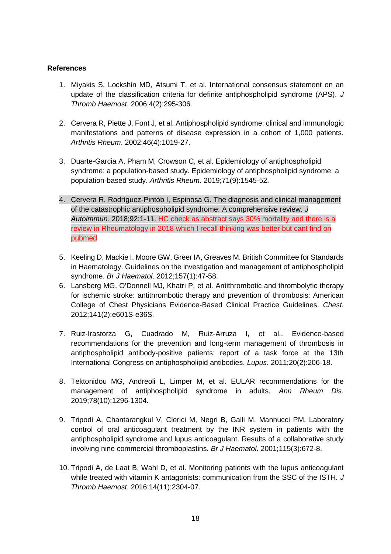# **References**

- 1. Miyakis S, Lockshin MD, Atsumi T, et al. International consensus statement on an update of the classification criteria for definite antiphospholipid syndrome (APS). *J Thromb Haemost*. 2006;4(2):295-306.
- 2. Cervera R, Piette J, Font J, et al. Antiphospholipid syndrome: clinical and immunologic manifestations and patterns of disease expression in a cohort of 1,000 patients. *Arthritis Rheum*. 2002;46(4):1019-27.
- 3. Duarte-Garcia A, Pham M, Crowson C, et al. Epidemiology of antiphospholipid syndrome: a population-based study. Epidemiology of antiphospholipid syndrome: a population-based study. *Arthritis Rheum*. 2019;71(9):1545-52.
- 4. Cervera R, Rodríguez-Pintób I, Espinosa G. The diagnosis and clinical management of the catastrophic antiphospholipid syndrome: A comprehensive review. *J Autoimmun.* 2018;92:1-11. HC check as abstract says 30% mortality and there is a review in Rheumatology in 2018 which I recall thinking was better but cant find on pubmed
- 5. Keeling D, Mackie I, Moore GW, Greer IA, Greaves M. British Committee for Standards in Haematology. Guidelines on the investigation and management of antiphospholipid syndrome. *Br J Haematol*. 2012;157(1):47-58.
- 6. Lansberg MG, O'Donnell MJ, Khatri P, et al. Antithrombotic and thrombolytic therapy for ischemic stroke: antithrombotic therapy and prevention of thrombosis: American College of Chest Physicians Evidence-Based Clinical Practice Guidelines. *Chest*. 2012;141(2):e601S-e36S.
- 7. Ruiz-Irastorza G, Cuadrado M, Ruiz-Arruza I, et al.. Evidence-based recommendations for the prevention and long-term management of thrombosis in antiphospholipid antibody-positive patients: report of a task force at the 13th International Congress on antiphospholipid antibodies. *Lupus*. 2011;20(2):206-18.
- 8. Tektonidou MG, Andreoli L, Limper M, et al. EULAR recommendations for the management of antiphospholipid syndrome in adults. *Ann Rheum Dis*. 2019;78(10):1296-1304.
- 9. Tripodi A, Chantarangkul V, Clerici M, Negri B, Galli M, Mannucci PM. Laboratory control of oral anticoagulant treatment by the INR system in patients with the antiphospholipid syndrome and lupus anticoagulant. Results of a collaborative study involving nine commercial thromboplastins. *Br J Haematol*. 2001;115(3):672-8.
- 10. Tripodi A, de Laat B, Wahl D, et al. Monitoring patients with the lupus anticoagulant while treated with vitamin K antagonists: communication from the SSC of the ISTH. *J Thromb Haemost*. 2016;14(11):2304-07.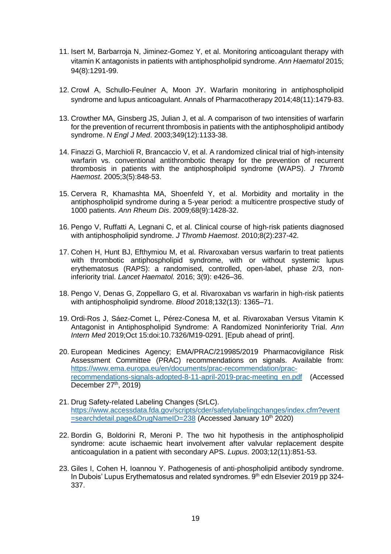- 11. Isert M, Barbarroja N, Jiminez-Gomez Y, et al. Monitoring anticoagulant therapy with vitamin K antagonists in patients with antiphospholipid syndrome. *Ann Haematol* 2015; 94(8):1291-99.
- 12. Crowl A, Schullo-Feulner A, Moon JY. Warfarin monitoring in antiphospholipid syndrome and lupus anticoagulant. Annals of Pharmacotherapy 2014;48(11):1479-83.
- 13. Crowther MA, Ginsberg JS, Julian J, et al. A comparison of two intensities of warfarin for the prevention of recurrent thrombosis in patients with the antiphospholipid antibody syndrome. *N Engl J Med*. 2003;349(12):1133-38.
- 14. Finazzi G, Marchioli R, Brancaccio V, et al. A randomized clinical trial of high-intensity warfarin vs. conventional antithrombotic therapy for the prevention of recurrent thrombosis in patients with the antiphospholipid syndrome (WAPS). *J Thromb Haemost*. 2005;3(5):848-53.
- 15. Cervera R, Khamashta MA, Shoenfeld Y, et al. Morbidity and mortality in the antiphospholipid syndrome during a 5-year period: a multicentre prospective study of 1000 patients. *Ann Rheum Dis*. 2009;68(9):1428-32.
- 16. Pengo V, Ruffatti A, Legnani C, et al. Clinical course of high‐risk patients diagnosed with antiphospholipid syndrome. *J Thromb Haemost*. 2010;8(2):237-42.
- 17. Cohen H, Hunt BJ, Efthymiou M, et al. Rivaroxaban versus warfarin to treat patients with thrombotic antiphospholipid syndrome, with or without systemic lupus erythematosus (RAPS): a randomised, controlled, open-label, phase 2/3, noninferiority trial. *Lancet Haematol.* 2016; 3(9): e426–36.
- 18. Pengo V, Denas G, Zoppellaro G, et al. Rivaroxaban vs warfarin in high-risk patients with antiphospholipid syndrome. *Blood* 2018;132(13): 1365–71.
- 19. Ordi-Ros J, Sáez-Comet L, Pérez-Conesa M, et al. Rivaroxaban Versus Vitamin K Antagonist in Antiphospholipid Syndrome: A Randomized Noninferiority Trial. *Ann Intern Med* 2019;Oct 15:doi:10.7326/M19-0291. [Epub ahead of print].
- 20. European Medicines Agency; EMA/PRAC/219985/2019 Pharmacovigilance Risk Assessment Committee (PRAC) recommendations on signals. Available from: [https://www.ema.europa.eu/en/documents/prac-recommendation/prac](https://www.ema.europa.eu/en/documents/prac-recommendation/prac-recommendations-signals-adopted-8-11-april-2019-prac-meeting_en.pdf)[recommendations-signals-adopted-8-11-april-2019-prac-meeting\\_en.pdf](https://www.ema.europa.eu/en/documents/prac-recommendation/prac-recommendations-signals-adopted-8-11-april-2019-prac-meeting_en.pdf) (Accessed December  $27<sup>th</sup>$ , 2019)
- 21. Drug Safety-related Labeling Changes (SrLC). [https://www.accessdata.fda.gov/scripts/cder/safetylabelingchanges/index.cfm?event](https://www.accessdata.fda.gov/scripts/cder/safetylabelingchanges/index.cfm?event=searchdetail.page&DrugNameID=238) [=searchdetail.page&DrugNameID=238](https://www.accessdata.fda.gov/scripts/cder/safetylabelingchanges/index.cfm?event=searchdetail.page&DrugNameID=238) (Accessed January 10th 2020)
- 22. Bordin G, Boldorini R, Meroni P. The two hit hypothesis in the antiphospholipid syndrome: acute ischaemic heart involvement after valvular replacement despite anticoagulation in a patient with secondary APS. *Lupus*. 2003;12(11):851-53.
- 23. Giles I, Cohen H, Ioannou Y. Pathogenesis of anti-phospholipid antibody syndrome. In Dubois' Lupus Erythematosus and related syndromes. 9<sup>th</sup> edn Elsevier 2019 pp 324-337.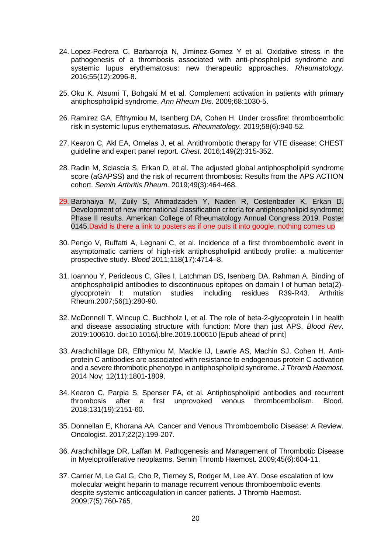- 24. Lopez-Pedrera C, Barbarroja N, Jiminez-Gomez Y et al. Oxidative stress in the pathogenesis of a thrombosis associated with anti-phospholipid syndrome and systemic lupus erythematosus: new therapeutic approaches. *Rheumatology*. 2016;55(12):2096-8.
- 25. Oku K, Atsumi T, Bohgaki M et al. Complement activation in patients with primary antiphospholipid syndrome. *Ann Rheum Dis*. 2009;68:1030-5.
- 26. Ramirez GA, Efthymiou M, Isenberg DA, Cohen H. Under crossfire: thromboembolic risk in systemic lupus erythematosus. *Rheumatology.* 2019;58(6):940-52.
- 27. Kearon C, Akl EA, Ornelas J, et al. Antithrombotic therapy for VTE disease: CHEST guideline and expert panel report. *Chest*. 2016;149(2):315-352.
- 28. Radin M, Sciascia S, Erkan D, et al. The adjusted global antiphospholipid syndrome score (aGAPSS) and the risk of recurrent thrombosis: Results from the APS ACTION cohort. *Semin Arthritis Rheum.* 2019;49(3):464-468.
- 29. Barbhaiya M, Zuily S, Ahmadzadeh Y, Naden R, Costenbader K, Erkan D. Development of new international classification criteria for antiphospholipid syndrome: Phase II results. American College of Rheumatology Annual Congress 2019. Poster 0145.David is there a link to posters as if one puts it into google, nothing comes up
- 30. Pengo V, Ruffatti A, Legnani C, et al. Incidence of a first thromboembolic event in asymptomatic carriers of high-risk antiphospholipid antibody profile: a multicenter prospective study. *Blood* 2011;118(17):4714–8.
- 31. Ioannou Y, Pericleous C, Giles I, Latchman DS, Isenberg DA, Rahman A. Binding of antiphospholipid antibodies to discontinuous epitopes on domain I of human beta(2) glycoprotein I: mutation studies including residues R39-R43. Arthritis Rheum.2007;56(1):280-90.
- 32. McDonnell T, Wincup C, Buchholz I, et al. The role of beta-2-glycoprotein I in health and disease associating structure with function: More than just APS. *Blood Rev*. 2019:100610. doi:10.1016/j.blre.2019.100610 [Epub ahead of print]
- 33. Arachchillage DR, Efthymiou M, Mackie IJ, Lawrie AS, Machin SJ, Cohen H. Antiprotein C antibodies are associated with resistance to endogenous protein C activation and a severe thrombotic phenotype in antiphospholipid syndrome. *J Thromb Haemost*. 2014 Nov; 12(11):1801-1809.
- 34. Kearon C, Parpia S, Spenser FA, et al. Antiphospholipid antibodies and recurrent thrombosis after a first unprovoked venous thromboembolism. Blood. 2018;131(19):2151-60.
- 35. Donnellan E, Khorana AA. Cancer and Venous Thromboembolic Disease: A Review. Oncologist. 2017;22(2):199-207.
- 36. Arachchillage DR, Laffan M. Pathogenesis and Management of Thrombotic Disease in Myeloproliferative neoplasms. Semin Thromb Haemost. 2009;45(6):604-11.
- 37. Carrier M, Le Gal G, Cho R, Tierney S, Rodger M, Lee AY. Dose escalation of low molecular weight heparin to manage recurrent venous thromboembolic events despite systemic anticoagulation in cancer patients. J Thromb Haemost. 2009;7(5):760-765.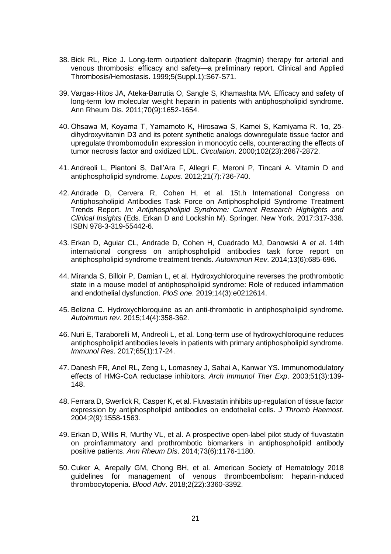- 38. Bick RL, Rice J. Long-term outpatient dalteparin (fragmin) therapy for arterial and venous thrombosis: efficacy and safety—a preliminary report. Clinical and Applied Thrombosis/Hemostasis. 1999;5(Suppl.1):S67-S71.
- 39. Vargas-Hitos JA, Ateka-Barrutia O, Sangle S, Khamashta MA. Efficacy and safety of long-term low molecular weight heparin in patients with antiphospholipid syndrome. Ann Rheum Dis. 2011;70(9):1652-1654.
- 40. Ohsawa M, Koyama T, Yamamoto K, Hirosawa S, Kamei S, Kamiyama R. 1α, 25 dihydroxyvitamin D3 and its potent synthetic analogs downregulate tissue factor and upregulate thrombomodulin expression in monocytic cells, counteracting the effects of tumor necrosis factor and oxidized LDL. *Circulation*. 2000;102(23):2867-2872.
- 41. Andreoli L, Piantoni S, Dall'Ara F, Allegri F, Meroni P, Tincani A. Vitamin D and antiphospholipid syndrome. *Lupus*. 2012;21(7):736-740.
- 42. Andrade D, Cervera R, Cohen H, et al. 15t.h International Congress on Antiphospholipid Antibodies Task Force on Antiphospholipid Syndrome Treatment Trends Report. *In: Antiphospholipid Syndrome: Current Research Highlights and Clinical Insights* (Eds. Erkan D and Lockshin M). Springer. New York. 2017:317-338. ISBN 978-3-319-55442-6.
- 43. Erkan D, Aguiar CL, Andrade D, Cohen H, Cuadrado MJ, Danowski A *et a*l. 14th international congress on antiphospholipid antibodies task force report on antiphospholipid syndrome treatment trends. *Autoimmun Rev*. 2014;13(6):685-696.
- 44. Miranda S, Billoir P, Damian L, et al. Hydroxychloroquine reverses the prothrombotic state in a mouse model of antiphospholipid syndrome: Role of reduced inflammation and endothelial dysfunction. *PloS one*. 2019;14(3):e0212614.
- 45. Belizna C. Hydroxychloroquine as an anti-thrombotic in antiphospholipid syndrome. *Autoimmun rev*. 2015;14(4):358-362.
- 46. Nuri E, Taraborelli M, Andreoli L, et al. Long-term use of hydroxychloroquine reduces antiphospholipid antibodies levels in patients with primary antiphospholipid syndrome. *Immunol Res*. 2017;65(1):17-24.
- 47. Danesh FR, Anel RL, Zeng L, Lomasney J, Sahai A, Kanwar YS. Immunomodulatory effects of HMG-CoA reductase inhibitors. *Arch Immunol Ther Exp*. 2003;51(3):139- 148.
- 48. Ferrara D, Swerlick R, Casper K, et al. Fluvastatin inhibits up‐regulation of tissue factor expression by antiphospholipid antibodies on endothelial cells. *J Thromb Haemost*. 2004;2(9):1558-1563.
- 49. Erkan D, Willis R, Murthy VL, et al. A prospective open-label pilot study of fluvastatin on proinflammatory and prothrombotic biomarkers in antiphospholipid antibody positive patients. *Ann Rheum Dis*. 2014;73(6):1176-1180.
- 50. Cuker A, Arepally GM, Chong BH, et al. American Society of Hematology 2018 guidelines for management of venous thromboembolism: heparin-induced thrombocytopenia. *Blood Adv*. 2018;2(22):3360-3392.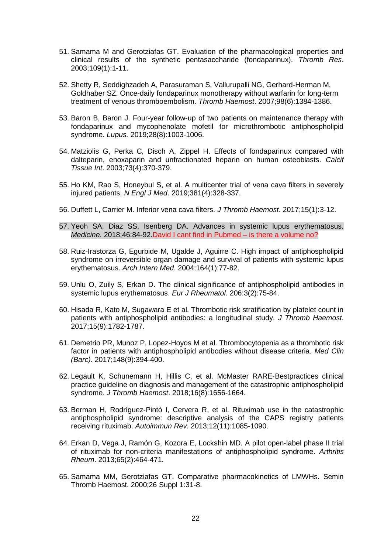- 51. Samama M and Gerotziafas GT. Evaluation of the pharmacological properties and clinical results of the synthetic pentasaccharide (fondaparinux). *Thromb Res*. 2003;109(1):1-11.
- 52. Shetty R, Seddighzadeh A, Parasuraman S, Vallurupalli NG, Gerhard-Herman M, Goldhaber SZ. Once-daily fondaparinux monotherapy without warfarin for long-term treatment of venous thromboembolism. *Thromb Haemost*. 2007;98(6):1384-1386.
- 53. Baron B, Baron J. Four-year follow-up of two patients on maintenance therapy with fondaparinux and mycophenolate mofetil for microthrombotic antiphospholipid syndrome. *Lupus.* 2019;28(8):1003-1006.
- 54. Matziolis G, Perka C, Disch A, Zippel H. Effects of fondaparinux compared with dalteparin, enoxaparin and unfractionated heparin on human osteoblasts. *Calcif Tissue Int*. 2003;73(4):370-379.
- 55. Ho KM, Rao S, Honeybul S, et al. A multicenter trial of vena cava filters in severely injured patients. *N Engl J Med*. 2019;381(4):328-337.
- 56. Duffett L, Carrier M. Inferior vena cava filters. *J Thromb Haemost*. 2017;15(1):3-12.
- 57. Yeoh SA, Diaz SS, Isenberg DA. Advances in systemic lupus erythematosus. *Medicine*. 2018;46:84-92.David I cant find in Pubmed – is there a volume no?
- 58. Ruiz-Irastorza G, Egurbide M, Ugalde J, Aguirre C. High impact of antiphospholipid syndrome on irreversible organ damage and survival of patients with systemic lupus erythematosus. *Arch Intern Med*. 2004;164(1):77-82.
- 59. Unlu O, Zuily S, Erkan D. The clinical significance of antiphospholipid antibodies in systemic lupus erythematosus. *Eur J Rheumatol*. 206:3(2):75-84.
- 60. Hisada R, Kato M, Sugawara E et al. Thrombotic risk stratification by platelet count in patients with antiphospholipid antibodies: a longitudinal study. *J Thromb Haemost*. 2017;15(9):1782-1787.
- 61. Demetrio PR, Munoz P, Lopez-Hoyos M et al. Thrombocytopenia as a thrombotic risk factor in patients with antiphospholipid antibodies without disease criteria. *Med Clin (Barc)*. 2017;148(9):394-400.
- 62. Legault K, Schunemann H, Hillis C, et al. McMaster RARE‐Bestpractices clinical practice guideline on diagnosis and management of the catastrophic antiphospholipid syndrome. *J Thromb Haemost*. 2018;16(8):1656-1664.
- 63. Berman H, Rodríguez-Pintó I, Cervera R, et al. Rituximab use in the catastrophic antiphospholipid syndrome: descriptive analysis of the CAPS registry patients receiving rituximab. *Autoimmun Rev*. 2013;12(11):1085-1090.
- 64. Erkan D, Vega J, Ramón G, Kozora E, Lockshin MD. A pilot open‐label phase II trial of rituximab for non‐criteria manifestations of antiphospholipid syndrome. *Arthritis Rheum*. 2013;65(2):464-471.
- 65. Samama MM, Gerotziafas GT. Comparative pharmacokinetics of LMWHs. Semin Thromb Haemost. 2000;26 Suppl 1:31-8.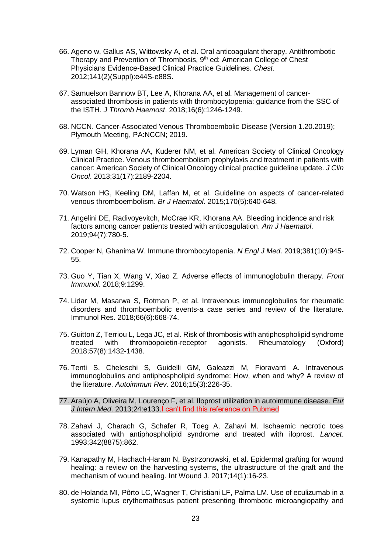- 66. Ageno w, Gallus AS, Wittowsky A, et al. Oral anticoagulant therapy. Antithrombotic Therapy and Prevention of Thrombosis,  $9<sup>th</sup>$  ed: American College of Chest Physicians Evidence-Based Clinical Practice Guidelines. *Chest*. 2012;141(2)(Suppl):e44S-e88S.
- 67. Samuelson Bannow BT, Lee A, Khorana AA, et al. Management of cancerassociated thrombosis in patients with thrombocytopenia: guidance from the SSC of the ISTH. *J Thromb Haemost*. 2018;16(6):1246-1249.
- 68. NCCN. Cancer-Associated Venous Thromboembolic Disease (Version 1.20.2019); Plymouth Meeting, PA:NCCN; 2019.
- 69. Lyman GH, Khorana AA, Kuderer NM, et al. American Society of Clinical Oncology Clinical Practice. Venous thromboembolism prophylaxis and treatment in patients with cancer: American Society of Clinical Oncology clinical practice guideline update. *J Clin Oncol*. 2013;31(17):2189-2204.
- 70. Watson HG, Keeling DM, Laffan M, et al. Guideline on aspects of cancer-related venous thromboembolism. *Br J Haematol*. 2015;170(5):640-648.
- 71. Angelini DE, Radivoyevitch, McCrae KR, Khorana AA. Bleeding incidence and risk factors among cancer patients treated with anticoagulation. *Am J Haematol*. 2019;94(7):780-5.
- 72. Cooper N, Ghanima W. Immune thrombocytopenia. *N Engl J Med*. 2019;381(10):945- 55.
- 73. Guo Y, Tian X, Wang V, Xiao Z. Adverse effects of immunoglobulin therapy. *Front Immunol*. 2018;9:1299.
- 74. Lidar M, Masarwa S, Rotman P, et al. Intravenous immunoglobulins for rheumatic disorders and thromboembolic events-a case series and review of the literature. Immunol Res. 2018;66(6):668-74.
- 75. Guitton Z, Terriou L, Lega JC, et al. Risk of thrombosis with antiphospholipid syndrome treated with thrombopoietin-receptor agonists. Rheumatology (Oxford) 2018;57(8):1432-1438.
- 76. Tenti S, Cheleschi S, Guidelli GM, Galeazzi M, Fioravanti A. Intravenous immunoglobulins and antiphospholipid syndrome: How, when and why? A review of the literature. *Autoimmun Rev*. 2016;15(3):226-35.
- 77. Araújo A, Oliveira M, Lourenço F, et al. Iloprost utilization in autoimmune disease. *Eur J Intern Med*. 2013;24:e133.I can't find this reference on Pubmed
- 78. Zahavi J, Charach G, Schafer R, Toeg A, Zahavi M. Ischaemic necrotic toes associated with antiphospholipid syndrome and treated with iloprost. *Lancet*. 1993;342(8875):862.
- 79. Kanapathy M, Hachach-Haram N, Bystrzonowski, et al. Epidermal grafting for wound healing: a review on the harvesting systems, the ultrastructure of the graft and the mechanism of wound healing. Int Wound J. 2017;14(1):16-23.
- 80. de Holanda MI, Pôrto LC, Wagner T, Christiani LF, Palma LM. Use of eculizumab in a systemic lupus erythemathosus patient presenting thrombotic microangiopathy and